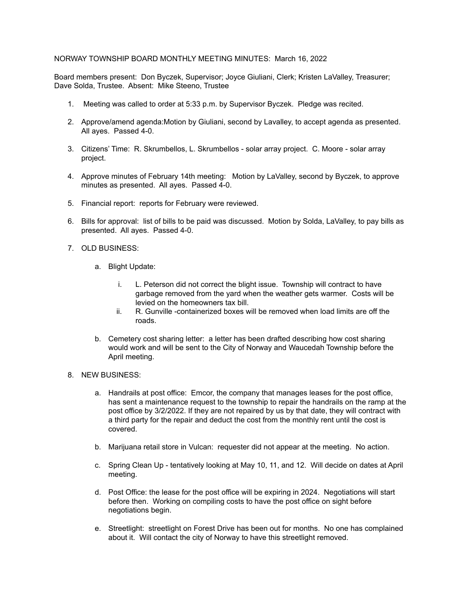## NORWAY TOWNSHIP BOARD MONTHLY MEETING MINUTES: March 16, 2022

Board members present: Don Byczek, Supervisor; Joyce Giuliani, Clerk; Kristen LaValley, Treasurer; Dave Solda, Trustee. Absent: Mike Steeno, Trustee

- 1. Meeting was called to order at 5:33 p.m. by Supervisor Byczek. Pledge was recited.
- 2. Approve/amend agenda:Motion by Giuliani, second by Lavalley, to accept agenda as presented. All ayes. Passed 4-0.
- 3. Citizens' Time: R. Skrumbellos, L. Skrumbellos solar array project. C. Moore solar array project.
- 4. Approve minutes of February 14th meeting: Motion by LaValley, second by Byczek, to approve minutes as presented. All ayes. Passed 4-0.
- 5. Financial report: reports for February were reviewed.
- 6. Bills for approval: list of bills to be paid was discussed. Motion by Solda, LaValley, to pay bills as presented. All ayes. Passed 4-0.
- 7. OLD BUSINESS:
	- a. Blight Update:
		- i. L. Peterson did not correct the blight issue. Township will contract to have garbage removed from the yard when the weather gets warmer. Costs will be levied on the homeowners tax bill.
		- ii. R. Gunville -containerized boxes will be removed when load limits are off the roads.
	- b. Cemetery cost sharing letter: a letter has been drafted describing how cost sharing would work and will be sent to the City of Norway and Waucedah Township before the April meeting.
- 8. NEW BUSINESS:
	- a. Handrails at post office: Emcor, the company that manages leases for the post office, has sent a maintenance request to the township to repair the handrails on the ramp at the post office by 3/2/2022. If they are not repaired by us by that date, they will contract with a third party for the repair and deduct the cost from the monthly rent until the cost is covered.
	- b. Marijuana retail store in Vulcan: requester did not appear at the meeting. No action.
	- c. Spring Clean Up tentatively looking at May 10, 11, and 12. Will decide on dates at April meeting.
	- d. Post Office: the lease for the post office will be expiring in 2024. Negotiations will start before then. Working on compiling costs to have the post office on sight before negotiations begin.
	- e. Streetlight: streetlight on Forest Drive has been out for months. No one has complained about it. Will contact the city of Norway to have this streetlight removed.